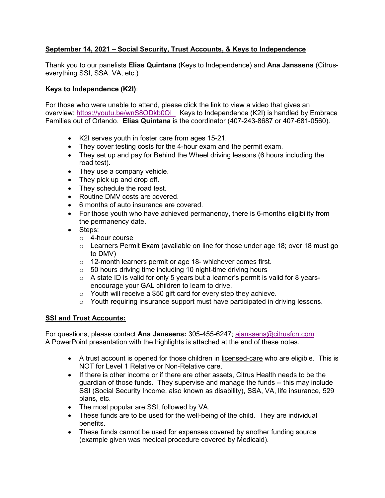#### **September 14, 2021 – Social Security, Trust Accounts, & Keys to Independence**

Thank you to our panelists **Elias Quintana** (Keys to Independence) and **Ana Janssens** (Citruseverything SSI, SSA, VA, etc.)

#### **Keys to Independence (K2I)**:

For those who were unable to attend, please click the link to view a video that gives an overview: https://youtu.be/wnS8ODkb0OI Keys to Independence (K2I) is handled by Embrace Families out of Orlando. **Elias Quintana** is the coordinator (407-243-8687 or 407-681-0560).

- K2I serves youth in foster care from ages 15-21.
- They cover testing costs for the 4-hour exam and the permit exam.
- They set up and pay for Behind the Wheel driving lessons (6 hours including the road test).
- They use a company vehicle.
- They pick up and drop off.
- They schedule the road test.
- Routine DMV costs are covered.
- 6 months of auto insurance are covered.
- For those youth who have achieved permanency, there is 6-months eligibility from the permanency date.
- Steps:
	- o 4-hour course
	- $\circ$  Learners Permit Exam (available on line for those under age 18; over 18 must go to DMV)
	- o 12-month learners permit or age 18- whichever comes first.
	- o 50 hours driving time including 10 night-time driving hours
	- $\circ$  A state ID is valid for only 5 years but a learner's permit is valid for 8 yearsencourage your GAL children to learn to drive.
	- o Youth will receive a \$50 gift card for every step they achieve.
	- o Youth requiring insurance support must have participated in driving lessons.

#### **SSI and Trust Accounts:**

For questions, please contact **Ana Janssens:** 305-455-6247; ajanssens@citrusfcn.com A PowerPoint presentation with the highlights is attached at the end of these notes.

- A trust account is opened for those children in licensed-care who are eligible. This is NOT for Level 1 Relative or Non-Relative care.
- If there is other income or if there are other assets, Citrus Health needs to be the guardian of those funds. They supervise and manage the funds -- this may include SSI (Social Security Income, also known as disability), SSA, VA, life insurance, 529 plans, etc.
- The most popular are SSI, followed by VA.
- These funds are to be used for the well-being of the child. They are individual benefits.
- These funds cannot be used for expenses covered by another funding source (example given was medical procedure covered by Medicaid).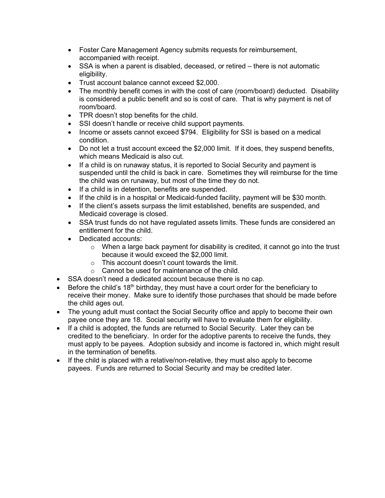- Foster Care Management Agency submits requests for reimbursement, accompanied with receipt.
- SSA is when a parent is disabled, deceased, or retired there is not automatic eligibility.
- Trust account balance cannot exceed \$2,000.
- The monthly benefit comes in with the cost of care (room/board) deducted. Disability is considered a public benefit and so is cost of care. That is why payment is net of room/board.
- TPR doesn't stop benefits for the child.
- SSI doesn't handle or receive child support payments.
- Income or assets cannot exceed \$794. Eligibility for SSI is based on a medical condition.
- Do not let a trust account exceed the \$2,000 limit. If it does, they suspend benefits, which means Medicaid is also cut.
- If a child is on runaway status, it is reported to Social Security and payment is suspended until the child is back in care. Sometimes they will reimburse for the time the child was on runaway, but most of the time they do not.
- If a child is in detention, benefits are suspended.
- If the child is in a hospital or Medicaid-funded facility, payment will be \$30 month.
- If the client's assets surpass the limit established, benefits are suspended, and Medicaid coverage is closed.
- SSA trust funds do not have regulated assets limits. These funds are considered an entitlement for the child.
- Dedicated accounts:
	- $\circ$  When a large back payment for disability is credited, it cannot go into the trust because it would exceed the \$2,000 limit.
	- o This account doesn't count towards the limit.
	- o Cannot be used for maintenance of the child.
- SSA doesn't need a dedicated account because there is no cap.
- Before the child's 18<sup>th</sup> birthday, they must have a court order for the beneficiary to receive their money. Make sure to identify those purchases that should be made before the child ages out.
- The young adult must contact the Social Security office and apply to become their own payee once they are 18. Social security will have to evaluate them for eligibility.
- If a child is adopted, the funds are returned to Social Security. Later they can be credited to the beneficiary. In order for the adoptive parents to receive the funds, they must apply to be payees. Adoption subsidy and income is factored in, which might result in the termination of benefits.
- If the child is placed with a relative/non-relative, they must also apply to become payees. Funds are returned to Social Security and may be credited later.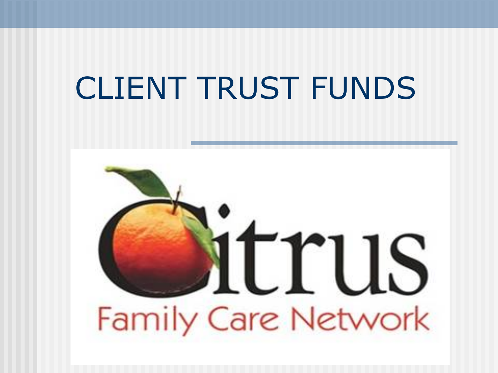#### CLIENT TRUST FUNDS

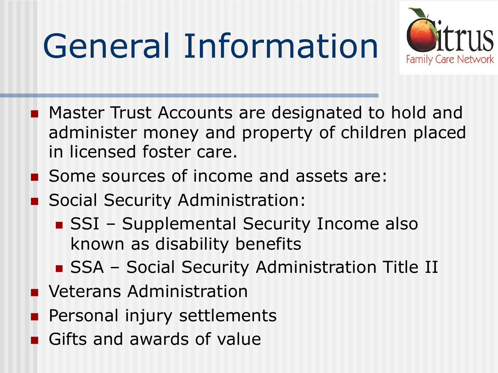# General Information



- Master Trust Accounts are designated to hold and administer money and property of children placed in licensed foster care.
- Some sources of income and assets are:
- **n** Social Security Administration:
	- **n** SSI Supplemental Security Income also known as disability benefits
	- **n** SSA Social Security Administration Title II
- **N** Veterans Administration
- **Personal injury settlements**
- Gifts and awards of value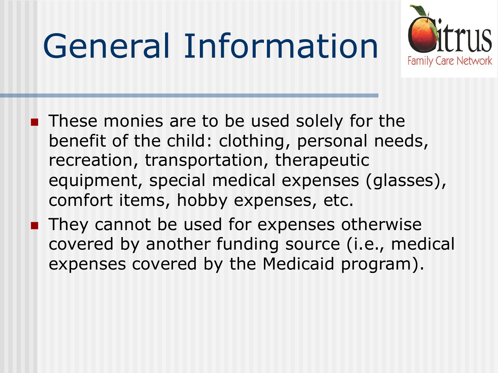# General Information



- These monies are to be used solely for the benefit of the child: clothing, personal needs, recreation, transportation, therapeutic equipment, special medical expenses (glasses), comfort items, hobby expenses, etc.
- $\blacksquare$  They cannot be used for expenses otherwise covered by another funding source (i.e., medical expenses covered by the Medicaid program).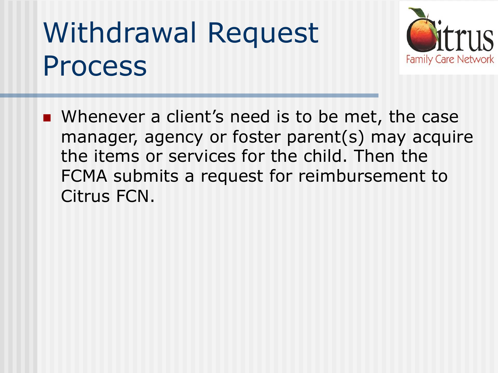#### Withdrawal Request Process



■ Whenever a client's need is to be met, the case manager, agency or foster parent(s) may acquire the items or services for the child. Then the FCMA submits a request for reimbursement to Citrus FCN.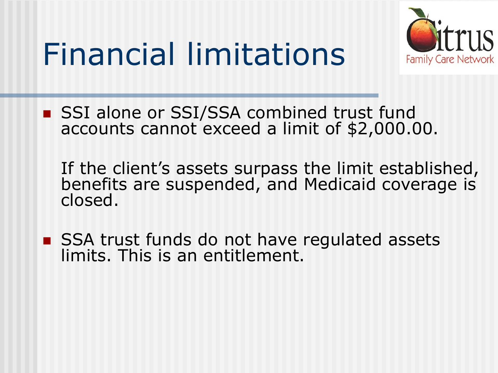#### Financial limitations



■ SSI alone or SSI/SSA combined trust fund accounts cannot exceed a limit of \$2,000.00.

If the client's assets surpass the limit established, benefits are suspended, and Medicaid coverage is closed.

■ SSA trust funds do not have regulated assets limits. This is an entitlement.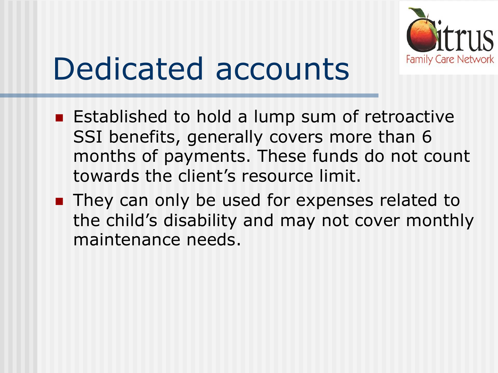

### Dedicated accounts

- Established to hold a lump sum of retroactive SSI benefits, generally covers more than 6 months of payments. These funds do not count towards the client's resource limit.
- They can only be used for expenses related to the child's disability and may not cover monthly maintenance needs.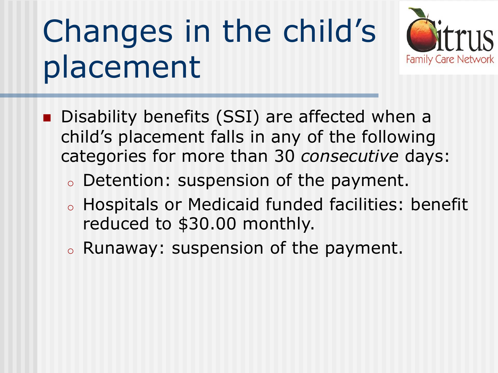## Changes in the child's placement



- Disability benefits (SSI) are affected when a child's placement falls in any of the following categories for more than 30 *consecutive* days:
	- <sup>o</sup> Detention: suspension of the payment.
	- <sup>o</sup> Hospitals or Medicaid funded facilities: benefit reduced to \$30.00 monthly.
	- <sup>o</sup> Runaway: suspension of the payment.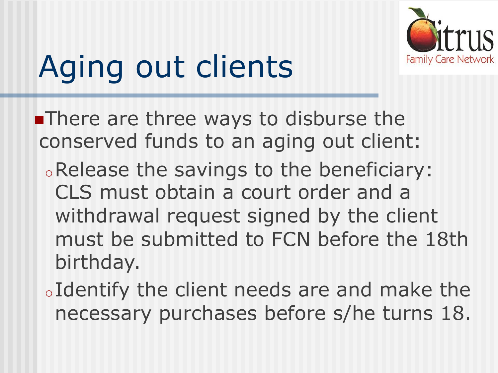

## Aging out clients

**nThere are three ways to disburse the** conserved funds to an aging out client:

- oRelease the savings to the beneficiary: CLS must obtain a court order and a withdrawal request signed by the client must be submitted to FCN before the 18th birthday.
- oIdentify the client needs are and make the necessary purchases before s/he turns 18.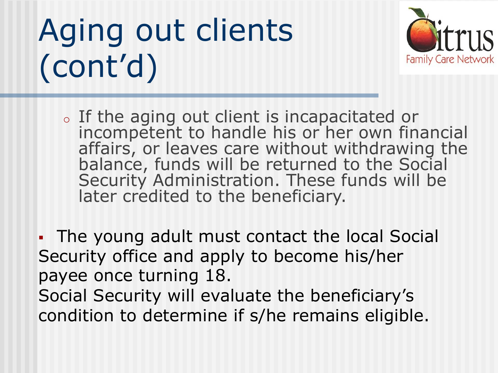## Aging out clients (cont'd)



- <sup>o</sup> If the aging out client is incapacitated or incompetent to handle his or her own financial affairs, or leaves care without withdrawing the balance, funds will be returned to the Social Security Administration. These funds will be later credited to the beneficiary.
- The young adult must contact the local Social Security office and apply to become his/her payee once turning 18.
- Social Security will evaluate the beneficiary's condition to determine if s/he remains eligible.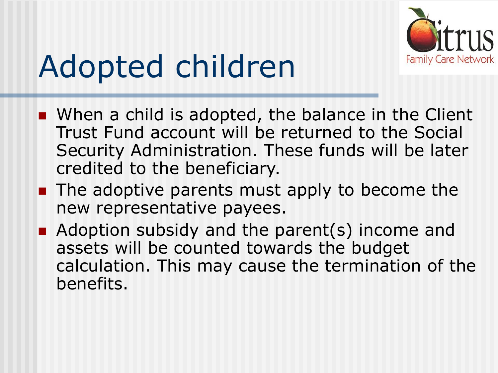

### Adopted children

- $\blacksquare$  When a child is adopted, the balance in the Client Trust Fund account will be returned to the Social Security Administration. These funds will be later credited to the beneficiary.
- $\blacksquare$  The adoptive parents must apply to become the new representative payees.
- $\blacksquare$  Adoption subsidy and the parent(s) income and assets will be counted towards the budget calculation. This may cause the termination of the benefits.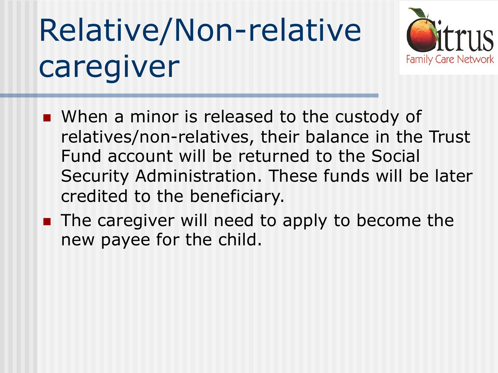## Relative/Non-relative caregiver



- When a minor is released to the custody of relatives/non-relatives, their balance in the Trust Fund account will be returned to the Social Security Administration. These funds will be later credited to the beneficiary.
- $\blacksquare$  The caregiver will need to apply to become the new payee for the child.